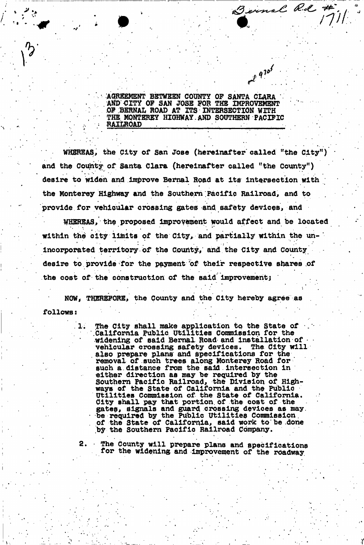**AGREEMENT BETWEEN COUNTY OF SANTA CLARA AND CITY OP SAN JOSE FOR THE IMPROVEMENT**  OF BERNAL ROAD AT ITS INTERSECTION WITH **THE. MONTEREY HIGHWAY. AND SOUTHERN PACIFIC RAILROAD** 

Bennal Rd #

 $e^{x^2}$ 

WHEREAS, the City of San Jose (hereinafter called "the City") and the County of Santa Clara (hereinafter called "the County") desire to widen and Improve Bernal Road at its Intersection with the Monterey Highway and the Southern Pacific Railroad, and to provide for vehicular crossing gates and safety devices, and

WHEREAS, the proposed improvement would affect and be located \* \* \*• .'•••\*• \* \* • within the city limits of the City, and partially within the unincorporated territory of the County,' and the City and County desire to provide for the payment of their respective shares of the cost of the construction of the said improvement;

NOW, THEREFORE, the County and the City hereby agree as follows:

> The City shall make application to the State of '.California Public utilities Commission for the widening of said Bernal Road and installation of vehicular crossing safety devices. The City will vehicular crossing safety devices. also prepare plans and specifications for the removal of such trees along Monterey Road for such a distance from the said intersection in either direction as may be required by the Southern Pacific Railroad, the Division of Highways of the State of California and the Public Utilities Commission of the State of California. City shall pay that portion of the cost of the gates, signals and guard crossing devices as may. be required by the Public Utilities Commission of the State of California, said work to'be .done by the Southern Pacific Railroad Company.

*y* 

2. • The County will prepare plans and specifications for the widening and improvement of the roadway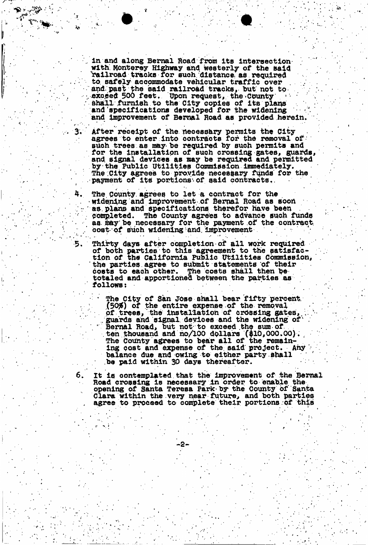in and along Bernal Road from its intersection with. Monterey Highway and westerly of the said "railroad tracks for such distance as required to. safely accommodate vehicular traffic over . and past the said railroad tracks, but not to exceed 500 feet. Upon request, the County Upon request, the County shall furnish to the City copies of its plans and specifications developed for the widening and improvement of Bernal Road as provided herein.

ï۰.

3.

4.

After receipt of the necessary permits the City agrees to enter into contracts for the removal of such trees as may be required by such permits and for the installation of such crossing gates, guards, and signal devices as may be required and permitted by the Public utilities Commission immediately. The City agrees to provide necessary funds for the payment of its portions of said contracts.

The County, agrees to let a contract for the • widening and improvement of Semal Road as soon as plans and specifications therefor have been<br>completed. The County agrees to advance such : The County agrees to advance such funds as may be necessary for the payment of the contract. oost of such widening and. improvement

う. Thirty days after completion of all work required of both parties to this agreement to the satisfaction of the California Public Utilities Commission, . the parties agree to submit statements of their costs to each other. The costs shall then be totaled and apportioned between the parties as follows:

\* The City of San JOse shall bear fifty percent. (50\$f) of the entire expense of the removal of trees, the installation of crossing gates, ...guards and signal devices and the widening of ...<br>"Bernal Road, but not to exceed the sum of. ten thousand and no/100 dollars  $(\text{$10,000.00}).$ The County agrees to bear all of the remaining cost and expense of the said project. Any balance due and owing to either party shall be paid within 30 days thereafter.

It is contemplated.that the improvement of the Bernal Road crossing is necessary In order to enable the. opening of Santa Teresa Park by the County of Santa Clara within the very near future, and both parties agree to proceed to complete their portions :of this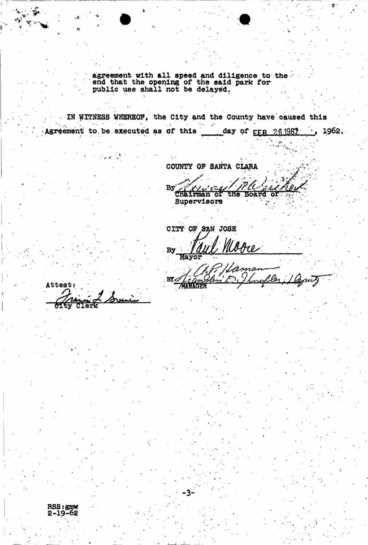agreement with all speed and diligence to the end that the opening of the said park for public use shall not be delayed.

IN WITNESS WHEREOF, the City and the County have caused this  $\mathcal{A}$ Agreement to be executed as of this day of  $_{\text{FFR}}$  26.1962.

**COUNTY OP SANTA CLARA** 

By Chairman of the Board of Supervisors

ma

rofler

•

CITY OF SAN JOSE

**MANAG** 

•3-

Uobe **By** Mayor

**Attests**  1erk

شی کے اس میں<br>مسلمان میں اس

 $\mathcal{N}$  ,  $\mathcal{N}$ 

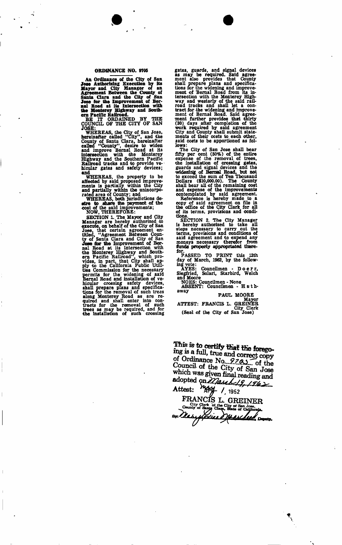## **ORDINANCE NO. 9705**

An Ordinance of the City of San<br>Jose Authorizing Execution by its<br>Mayor and City Manager of an<br>Agreement Between the County of<br>Santa Clara and the City of Ser-<br>Jose for the Improvement of Ber-<br>nal Road at its Intersection

THE IT ORDAINED BY THE COUNCIL OF THE CITY OF SAN

FOOT THE CITY OF SINCESS.<br>JOSE:<br>WHEREAS, the City of San Jose,<br>hereinafter called "City", and the<br>called "County", desire to widen<br>and improve Bernal Road at its<br>highway and the Southern Pacific<br>Railroad tracks and to prov

wHEREAS, the property to be<br>affected by said proposed improve-<br>ments is partially within the City<br>and partially within the unincorpo-<br>rated area of County; and<br>wHEREAS, both jurisdictions de-<br>efter to share the payment of

SECTION 1. The Mayor and City<br>
SECTION 1. The Mayor and City<br>
Manager are hereby authorized to<br>
execute, on behalf of the City of San-<br>
Jose, that certain agreement en-<br>
titled, "Agreement Between Coun-<br>
titled, "Agreement

gates, guards, and signal devices<br>as may be required. Said agree-<br>ment also provides that County<br>shall prepare plans and specifica-<br>tions for the widening and improve-<br>ment of Bernal Road from its in-<br>tersection with the M saru<br>lows:

The City of San Jose shall bear<br>fifty per cent (50%) of the entire<br>expense of the removal of trees,<br>the installation of crossing gates,<br>guards and signal devices and the<br>widening of Bernal Road, but not<br>to exceed the sum o Exerence is hereby made to a<br>
copy of said agreement on file in<br>
the office of the City Clerk for all<br>
of its terms, provisions and condi-<br>
tions.

SECTION 2. The City Manager<br>is hereby authorized to take all<br>steps necessary to carry out the<br>terms, provisions and conditions of<br>said agreement and to expend any<br>moneys necessary therefor from<br>funds properly appropriated

PASSED TO PRINT this 12th day of March, 1962, by the follow-ing vote: AYES: Councilmen - Doerr , Siegfried, Solari, Starbird, Welch

siegirieu, Solari, Starbird,<br>and Moore<br>ADEE: Councilmen - None<br>ADEE: Councilmen ABSENT: Councilmen - H a t haway

PAUL MOORE

Mayor<br>
ATTEST: FRANCIS L. GREINER<br>
City Clerk<br>
(Seal of the City of San Jose)

This is to certify that the forego-<br>ing is a full, true and correct copy of Ordinance No. 9223 of the Council of the City of San Jose which was given final reading and<br>adopted on 27/au 19.19.15/a **ATTEST: / 1962** 

**FRANCE ! L. GREINE R**  County of Santa City of San Jose.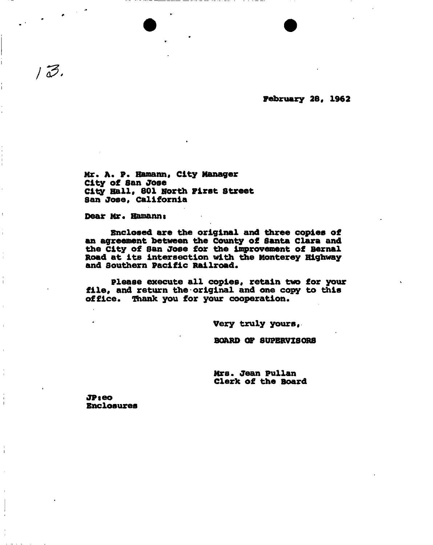**February 28, 1962** 

Mr. A. P. Hamann, City Manager **City of San Jose City Hall, 801 North First Street San Jose, California** 

Dear Mr. Hamann:

 $1\bar{3}$ .

**enclosed are the original and three copies of an agreement between the County of Santa Clara and the city of San Jose for the improvement of Bernal Road at its intersection with the Monterey Highway and Southern Pacific Railroad.** 

**please execute all copies, retain two for your file, and return the original and one copy to this office. Thank you for your cooperation.** 

**Very truly yours,** 

**BOARD OF SUPERVISORS** 

**Mrs. Jean Pullan Clerk of the Board** 

**JPseo Enclosures**